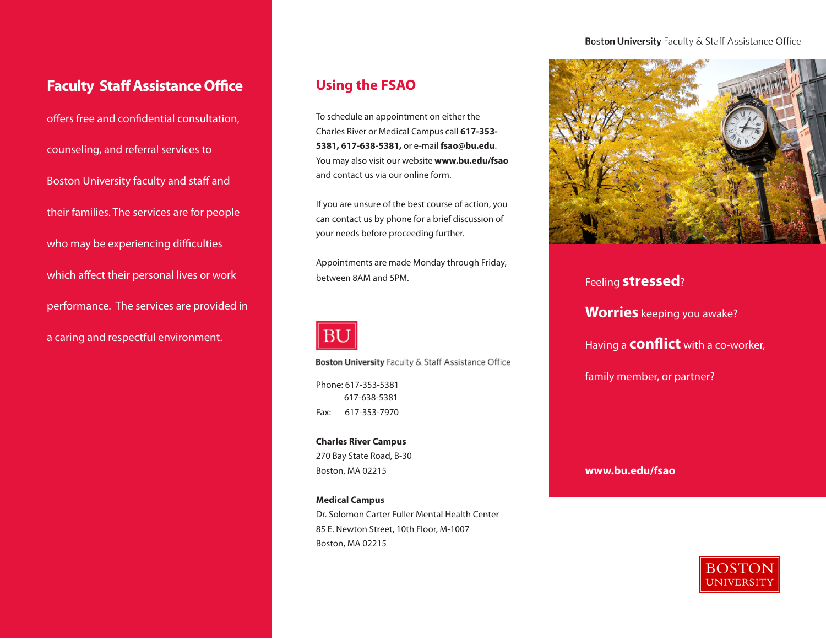#### Boston University Faculty & Staff Assistance Office

# **Faculty Staff Assistance Office**

offers free and confidential consultation, counseling, and referral services to Boston University faculty and staff and their families. The services are for people who may be experiencing difficulties which affect their personal lives or work performance. The services are provided in a caring and respectful environment.

# **Using the FSAO**

To schedule an appointment on either the Charles River or Medical Campus call **617-353- 5381, 617-638-5381,** or e-mail **fsao@bu.edu**. You may also visit our website **www.bu.edu/fsao** and contact us via our online form.

If you are unsure of the best course of action, you can contact us by phone for a brief discussion of your needs before proceeding further.

Appointments are made Monday through Friday, between 8AM and 5PM.



Boston University Faculty & Staff Assistance Office

Phone: 617-353-5381 617-638-5381 Fax: 617-353-7970

**Charles River Campus** 270 Bay State Road, B-30 Boston, MA 02215

**Medical Campus** Dr. Solomon Carter Fuller Mental Health Center 85 E. Newton Street, 10th Floor, M-1007 Boston, MA 02215



Feeling **stressed**? **Worries** keeping you awake? Having a **conflict** with a co-worker, family member, or partner?

**www.bu.edu/fsao**